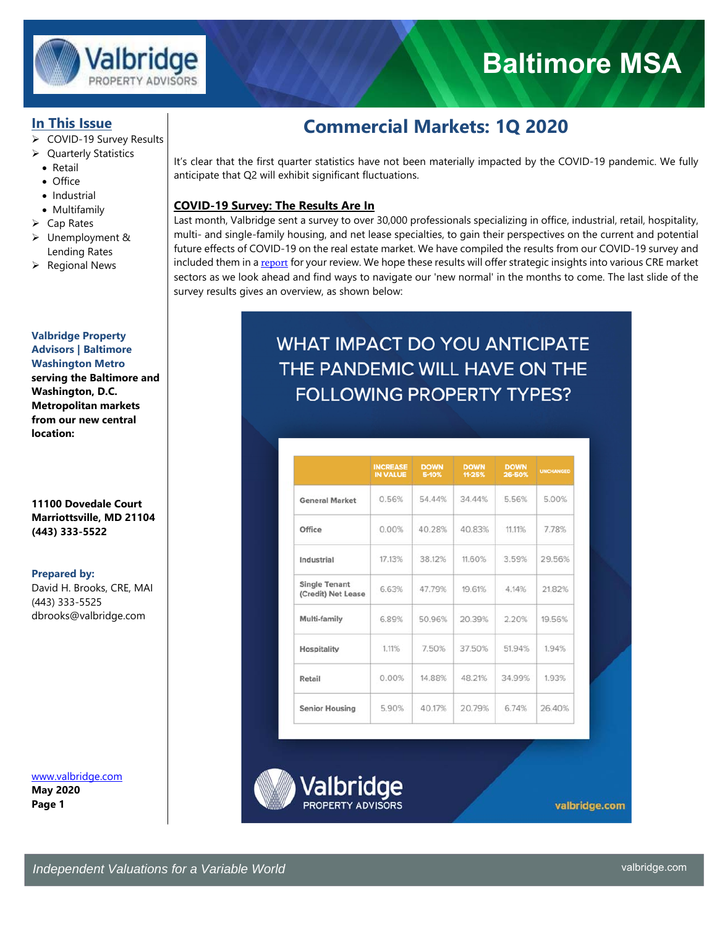

# **Baltimore MSA**

## **In This Issue**

- COVID-19 Survey Results
- ▶ Quarterly Statistics
	- Retail
	- Office
- Industrial
- Multifamily
- $\triangleright$  Cap Rates
- Unemployment & Lending Rates
- $\triangleright$  Regional News

## **Valbridge Property Advisors | Baltimore**

**Washington Metro serving the Baltimore and Washington, D.C. Metropolitan markets from our new central location:** 

## **11100 Dovedale Court Marriottsville, MD 21104 (443) 333-5522**

### **Prepared by:**

David H. Brooks, CRE, MAI (443) 333-5525 dbrooks@valbridge.com

www.valbridge.com **May 2020 Page 1** 

## **Commercial Markets: 1Q 2020**

It's clear that the first quarter statistics have not been materially impacted by the COVID-19 pandemic. We fully anticipate that Q2 will exhibit significant fluctuations.

## **COVID-19 Survey: The Results Are In**

Last month, Valbridge sent a survey to over 30,000 professionals specializing in office, industrial, retail, hospitality, multi- and single-family housing, and net lease specialties, to gain their perspectives on the current and potential future effects of COVID-19 on the real estate market. We have compiled the results from our COVID-19 survey and included them in a report for your review. We hope these results will offer strategic insights into various CRE market sectors as we look ahead and find ways to navigate our 'new normal' in the months to come. The last slide of the survey results gives an overview, as shown below:

## **WHAT IMPACT DO YOU ANTICIPATE** THE PANDEMIC WILL HAVE ON THE **FOLLOWING PROPERTY TYPES?**

|                                            | <b>INCREASE</b><br><b>IN VALUE</b> | <b>DOWN</b><br>5-10% | <b>DOWN</b><br>11-25% | <b>DOWN</b><br>26-50% | <b>UNCHANGED</b> |
|--------------------------------------------|------------------------------------|----------------------|-----------------------|-----------------------|------------------|
| <b>General Market</b>                      | 0.56%                              | 54.44%               | 34.44%                | 5.56%                 | 5.00%            |
| Office                                     | 0.00%                              | 40.28%               | 40.83%                | 11.11%                | 7.78%            |
| Industrial                                 | 17.13%                             | 38.12%               | 11.60%                | 3.59%                 | 29.56%           |
| <b>Single Tenant</b><br>(Credit) Net Lease | 6.63%                              | 47.79%               | 19.61%                | 4.14%                 | 21.82%           |
| Multi-family                               | 6.89%                              | 50.96%               | 20.39%                | 2.20%                 | 19.56%           |
| Hospitality                                | 1.11%                              | 7.50%                | 37.50%                | 51.94%                | 1.94%            |
| Retail                                     | 0.00%                              | 14.88%               | 48.21%                | 34.99%                | 1.93%            |
| <b>Senior Housing</b>                      | 5.90%                              | 40.17%               | 20.79%                | 6.74%                 | 26.40%           |

Valbridge

valbridge.com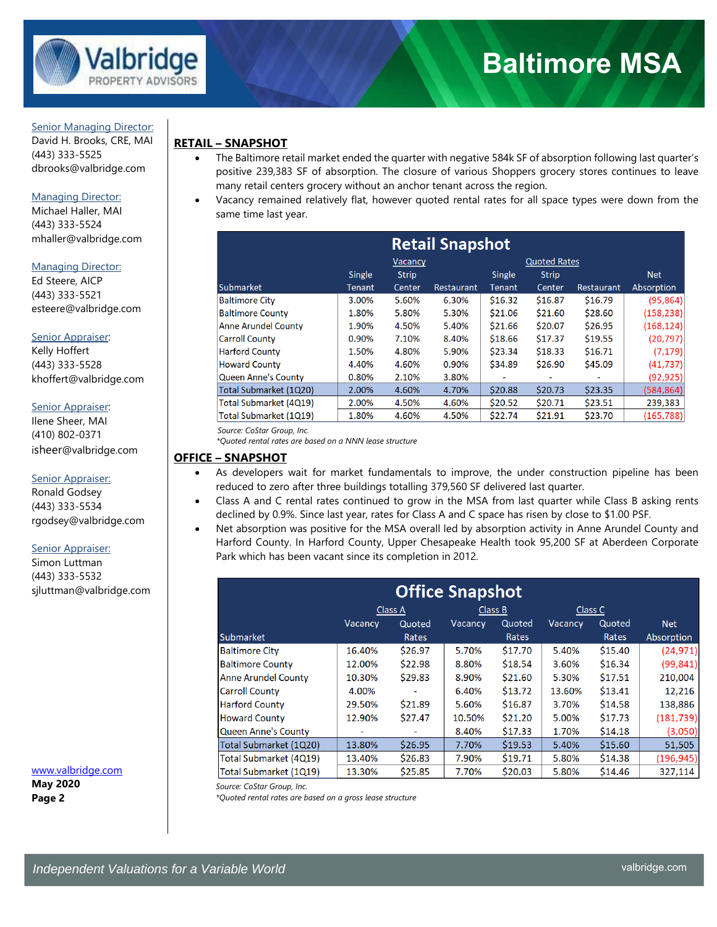

#### Senior Managing Director:

David H. Brooks, CRE, MAI (443) 333-5525 dbrooks@valbridge.com

#### Managing Director:

Michael Haller, MAI (443) 333-5524 mhaller@valbridge.com

#### Managing Director:

Ed Steere, AICP (443) 333-5521 esteere@valbridge.com

#### Senior Appraiser:

Kelly Hoffert (443) 333-5528 khoffert@valbridge.com

#### Senior Appraiser:

Ilene Sheer, MAI (410) 802-0371 isheer@valbridge.com

#### Senior Appraiser:

Ronald Godsey (443) 333-5534 rgodsey@valbridge.com

#### Senior Appraiser:

Simon Luttman (443) 333-5532 sjluttman@valbridge.com

www.valbridge.com **May 2020 Page 2** 

## **RETAIL – SNAPSHOT**

- The Baltimore retail market ended the quarter with negative 584k SF of absorption following last quarter's positive 239,383 SF of absorption. The closure of various Shoppers grocery stores continues to leave many retail centers grocery without an anchor tenant across the region.
- Vacancy remained relatively flat, however quoted rental rates for all space types were down from the same time last year.

| <b>Retail Snapshot</b>     |               |              |            |                          |                     |                          |            |
|----------------------------|---------------|--------------|------------|--------------------------|---------------------|--------------------------|------------|
| <b>Vacancy</b>             |               |              |            |                          | <b>Quoted Rates</b> |                          |            |
|                            | <b>Single</b> | <b>Strip</b> |            | Single                   | <b>Strip</b>        |                          | <b>Net</b> |
| Submarket                  | Tenant        | Center       | Restaurant | Tenant                   | Center              | Restaurant               | Absorption |
| <b>Baltimore City</b>      | 3.00%         | 5.60%        | 6.30%      | \$16.32                  | \$16.87             | \$16.79                  | (95, 864)  |
| <b>Baltimore County</b>    | 1.80%         | 5.80%        | 5.30%      | \$21.06                  | \$21.60             | \$28.60                  | (158, 238) |
| <b>Anne Arundel County</b> | 1.90%         | 4.50%        | 5.40%      | \$21.66                  | \$20.07             | \$26.95                  | (168, 124) |
| <b>Carroll County</b>      | 0.90%         | 7.10%        | 8.40%      | \$18.66                  | \$17.37             | \$19.55                  | (20, 797)  |
| <b>Harford County</b>      | 1.50%         | 4.80%        | 5.90%      | \$23.34                  | \$18.33             | \$16.71                  | (7, 179)   |
| <b>Howard County</b>       | 4.40%         | 4.60%        | 0.90%      | \$34.89                  | \$26.90             | \$45.09                  | (41, 737)  |
| Queen Anne's County        | 0.80%         | 2.10%        | 3.80%      | $\overline{\phantom{0}}$ | ٠                   | $\overline{\phantom{a}}$ | (92, 925)  |
| Total Submarket (1Q20)     | 2.00%         | 4.60%        | 4.70%      | \$20.88                  | \$20.73             | \$23.35                  | (584, 864) |
| Total Submarket (4Q19)     | 2.00%         | 4.50%        | 4.60%      | \$20.52                  | \$20.71             | \$23.51                  | 239,383    |
| Total Submarket (1Q19)     | 1.80%         | 4.60%        | 4.50%      | \$22.74                  | \$21.91             | \$23.70                  | (165, 788) |

 *Source: CoStar Group, Inc.*

 *\*Quoted rental rates are based on a NNN lease structure* 

## **OFFICE – SNAPSHOT**

- As developers wait for market fundamentals to improve, the under construction pipeline has been reduced to zero after three buildings totalling 379,560 SF delivered last quarter.
- Class A and C rental rates continued to grow in the MSA from last quarter while Class B asking rents declined by 0.9%. Since last year, rates for Class A and C space has risen by close to \$1.00 PSF.
- Net absorption was positive for the MSA overall led by absorption activity in Anne Arundel County and Harford County. In Harford County, Upper Chesapeake Health took 95,200 SF at Aberdeen Corporate Park which has been vacant since its completion in 2012.

| <b>Office Snapshot</b>     |                |         |                |         |         |         |            |  |
|----------------------------|----------------|---------|----------------|---------|---------|---------|------------|--|
|                            | Class A        | Class B |                | Class C |         |         |            |  |
|                            | <b>Vacancy</b> | Quoted  | <b>Vacancy</b> | Quoted  | Vacancy | Quoted  | <b>Net</b> |  |
| Submarket                  |                | Rates   |                | Rates   |         | Rates   | Absorption |  |
| <b>Baltimore City</b>      | 16.40%         | \$26.97 | 5.70%          | \$17.70 | 5.40%   | \$15.40 | (24, 971)  |  |
| <b>Baltimore County</b>    | 12.00%         | \$22.98 | 8.80%          | \$18.54 | 3.60%   | \$16.34 | (99, 841)  |  |
| <b>Anne Arundel County</b> | 10.30%         | \$29.83 | 8.90%          | \$21.60 | 5.30%   | \$17.51 | 210,004    |  |
| <b>Carroll County</b>      | 4.00%          | -       | 6.40%          | \$13.72 | 13.60%  | \$13.41 | 12,216     |  |
| <b>Harford County</b>      | 29.50%         | \$21.89 | 5.60%          | \$16.87 | 3.70%   | \$14.58 | 138,886    |  |
| <b>Howard County</b>       | 12.90%         | \$27.47 | 10.50%         | \$21.20 | 5.00%   | \$17.73 | (181, 739) |  |
| <b>Queen Anne's County</b> |                |         | 8.40%          | \$17.33 | 1.70%   | \$14.18 | (3,050)    |  |
| Total Submarket (1Q20)     | 13.80%         | \$26.95 | 7.70%          | \$19.53 | 5.40%   | \$15.60 | 51,505     |  |
| Total Submarket (4Q19)     | 13.40%         | \$26.83 | 7.90%          | \$19.71 | 5.80%   | \$14.38 | (196, 945) |  |
| Total Submarket (1Q19)     | 13.30%         | \$25.85 | 7.70%          | \$20.03 | 5.80%   | \$14.46 | 327,114    |  |

*Source: CoStar Group, Inc.* 

*\*Quoted rental rates are based on a gross lease structure*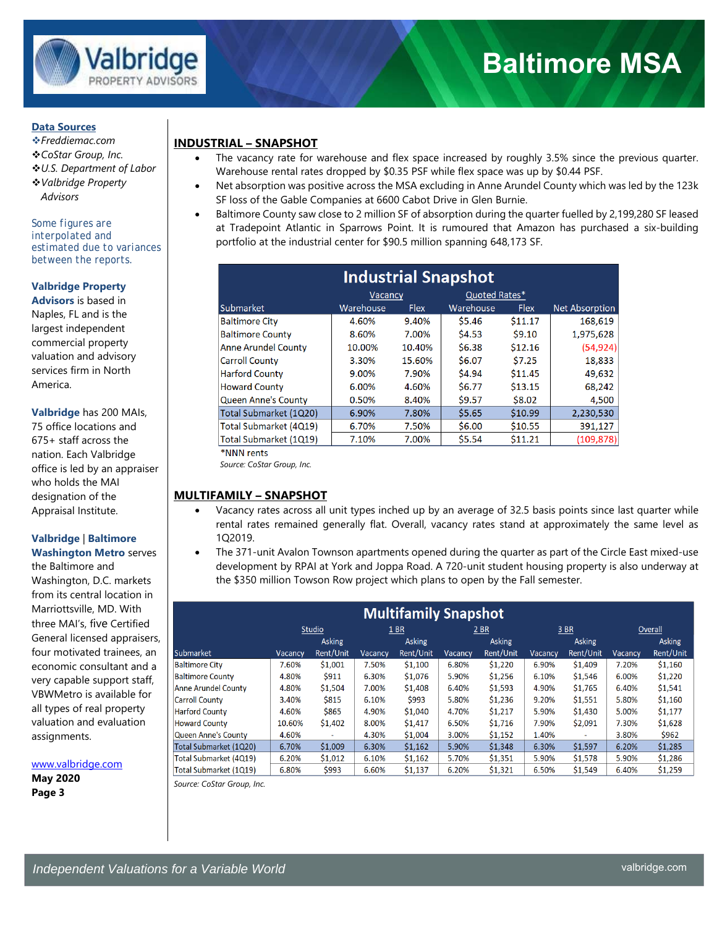

#### **Data Sources**

- *Freddiemac.com*
- *CoStar Group, Inc.*
- *U.S. Department of Labor*
- *Valbridge Property*
- *Advisors*

*Some figures are interpolated and estimated due to variances between the reports.* 

### **Valbridge Property**

**Advisors** is based in Naples, FL and is the largest independent commercial property valuation and advisory services firm in North America.

**Valbridge** has 200 MAIs, 75 office locations and 675+ staff across the nation. Each Valbridge office is led by an appraiser who holds the MAI designation of the Appraisal Institute.

## **Valbridge** | **Baltimore**

**Washington Metro** serves the Baltimore and Washington, D.C. markets from its central location in Marriottsville, MD. With three MAI's, five Certified General licensed appraisers, four motivated trainees, an economic consultant and a very capable support staff, VBWMetro is available for all types of real property valuation and evaluation assignments.

www.valbridge.com

**May 2020 Page 3** 

## **INDUSTRIAL – SNAPSHOT**

- The vacancy rate for warehouse and flex space increased by roughly 3.5% since the previous quarter. Warehouse rental rates dropped by \$0.35 PSF while flex space was up by \$0.44 PSF.
- Net absorption was positive across the MSA excluding in Anne Arundel County which was led by the 123k SF loss of the Gable Companies at 6600 Cabot Drive in Glen Burnie.
- Baltimore County saw close to 2 million SF of absorption during the quarter fuelled by 2,199,280 SF leased at Tradepoint Atlantic in Sparrows Point. It is rumoured that Amazon has purchased a six-building portfolio at the industrial center for \$90.5 million spanning 648,173 SF.

| <b>Industrial Snapshot</b> |           |             |           |             |                       |  |  |
|----------------------------|-----------|-------------|-----------|-------------|-----------------------|--|--|
|                            |           |             |           |             |                       |  |  |
| Submarket                  | Warehouse | <b>Flex</b> | Warehouse | <b>Flex</b> | <b>Net Absorption</b> |  |  |
| <b>Baltimore City</b>      | 4.60%     | 9.40%       | \$5.46    | \$11.17     | 168,619               |  |  |
| <b>Baltimore County</b>    | 8.60%     | 7.00%       | \$4.53    | \$9.10      | 1,975,628             |  |  |
| <b>Anne Arundel County</b> | 10.00%    | 10.40%      | \$6.38    | \$12.16     | (54, 924)             |  |  |
| <b>Carroll County</b>      | 3.30%     | 15.60%      | \$6.07    | \$7.25      | 18,833                |  |  |
| <b>Harford County</b>      | 9.00%     | 7.90%       | \$4.94    | \$11.45     | 49,632                |  |  |
| <b>Howard County</b>       | 6.00%     | 4.60%       | \$6.77    | \$13.15     | 68,242                |  |  |
| <b>Queen Anne's County</b> | 0.50%     | 8.40%       | \$9.57    | \$8.02      | 4,500                 |  |  |
| Total Submarket (1Q20)     | 6.90%     | 7.80%       | \$5.65    | \$10.99     | 2,230,530             |  |  |
| Total Submarket (4Q19)     | 6.70%     | 7.50%       | \$6.00    | \$10.55     | 391,127               |  |  |
| Total Submarket (1Q19)     | 7.10%     | 7.00%       | \$5.54    | \$11.21     | (109, 878)            |  |  |
| *NNN rents                 |           |             |           |             |                       |  |  |

 *Source: CoStar Group, Inc.* 

## **MULTIFAMILY – SNAPSHOT**

- Vacancy rates across all unit types inched up by an average of 32.5 basis points since last quarter while rental rates remained generally flat. Overall, vacancy rates stand at approximately the same level as 1Q2019.
- The 371-unit Avalon Townson apartments opened during the quarter as part of the Circle East mixed-use development by RPAI at York and Joppa Road. A 720-unit student housing property is also underway at the \$350 million Towson Row project which plans to open by the Fall semester.

| <b>Multifamily Snapshot</b> |                                |           |         |               |         |           |               |           |         |           |
|-----------------------------|--------------------------------|-----------|---------|---------------|---------|-----------|---------------|-----------|---------|-----------|
|                             |                                | Studio    | 1 BR    |               |         | 2 BR      |               | 3 BR      |         | Overall   |
|                             | <b>Asking</b><br><b>Asking</b> |           |         | <b>Asking</b> |         |           | <b>Asking</b> |           | Asking  |           |
| <b>Submarket</b>            | Vacancv                        | Rent/Unit | Vacancv | Rent/Unit     | Vacancy | Rent/Unit | Vacancv       | Rent/Unit | Vacancy | Rent/Unit |
| <b>Baltimore City</b>       | 7.60%                          | \$1,001   | 7.50%   | \$1,100       | 6.80%   | \$1,220   | 6.90%         | \$1,409   | 7.20%   | \$1,160   |
| <b>Baltimore County</b>     | 4.80%                          | \$911     | 6.30%   | \$1,076       | 5.90%   | \$1,256   | 6.10%         | \$1,546   | 6.00%   | \$1,220   |
| <b>Anne Arundel County</b>  | 4.80%                          | \$1,504   | 7.00%   | \$1,408       | 6.40%   | \$1,593   | 4.90%         | \$1,765   | 6.40%   | \$1,541   |
| <b>Carroll County</b>       | 3.40%                          | \$815     | 6.10%   | \$993         | 5.80%   | \$1,236   | 9.20%         | \$1,551   | 5.80%   | \$1,160   |
| <b>Harford County</b>       | 4.60%                          | \$865     | 4.90%   | \$1,040       | 4.70%   | \$1,217   | 5.90%         | \$1,430   | 5.00%   | \$1,177   |
| <b>Howard County</b>        | 10.60%                         | \$1,402   | 8.00%   | \$1,417       | 6.50%   | \$1,716   | 7.90%         | \$2,091   | 7.30%   | \$1,628   |
| <b>Queen Anne's County</b>  | 4.60%                          | $\sim$    | 4.30%   | \$1,004       | 3.00%   | \$1,152   | 1.40%         | $\sim$    | 3.80%   | \$962     |
| Total Submarket (1Q20)      | 6.70%                          | \$1,009   | 6.30%   | \$1,162       | 5.90%   | \$1,348   | 6.30%         | \$1,597   | 6.20%   | \$1,285   |
| Total Submarket (4Q19)      | 6.20%                          | \$1,012   | 6.10%   | \$1,162       | 5.70%   | \$1,351   | 5.90%         | \$1,578   | 5.90%   | \$1,286   |
| Total Submarket (1Q19)      | 6.80%                          | \$993     | 6.60%   | \$1,137       | 6.20%   | \$1,321   | 6.50%         | \$1,549   | 6.40%   | \$1,259   |

*Source: CoStar Group, Inc.*